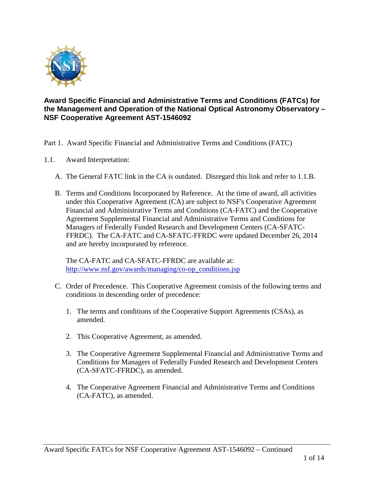

## **Award Specific Financial and Administrative Terms and Conditions (FATCs) for the Management and Operation of the National Optical Astronomy Observatory – NSF Cooperative Agreement AST-1546092**

Part 1. Award Specific Financial and Administrative Terms and Conditions (FATC)

- 1.1. Award Interpretation:
	- A. The General FATC link in the CA is outdated. Disregard this link and refer to 1.1.B.
	- B. Terms and Conditions Incorporated by Reference. At the time of award, all activities under this Cooperative Agreement (CA) are subject to NSF's Cooperative Agreement Financial and Administrative Terms and Conditions (CA-FATC) and the Cooperative Agreement Supplemental Financial and Administrative Terms and Conditions for Managers of Federally Funded Research and Development Centers (CA-SFATC-FFRDC). The CA-FATC and CA-SFATC-FFRDC were updated December 26, 2014 and are hereby incorporated by reference.

The CA-FATC and CA-SFATC-FFRDC are available at: [http://www.nsf.gov/awards/managing/co-op\\_conditions.jsp](http://www.nsf.gov/awards/managing/co-op_conditions.jsp)

- C. Order of Precedence. This Cooperative Agreement consists of the following terms and conditions in descending order of precedence:
	- 1. The terms and conditions of the Cooperative Support Agreements (CSAs), as amended.
	- 2. This Cooperative Agreement, as amended.
	- 3. The Cooperative Agreement Supplemental Financial and Administrative Terms and Conditions for Managers of Federally Funded Research and Development Centers (CA-SFATC-FFRDC), as amended.
	- 4. The Cooperative Agreement Financial and Administrative Terms and Conditions (CA-FATC), as amended.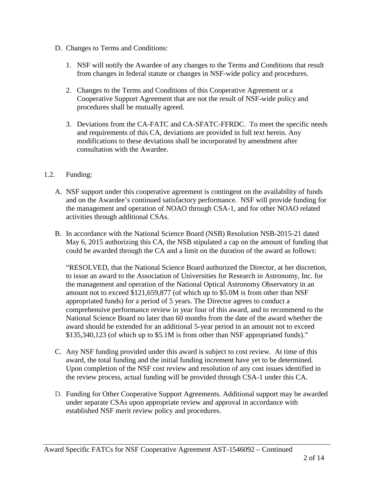- D. Changes to Terms and Conditions:
	- 1. NSF will notify the Awardee of any changes to the Terms and Conditions that result from changes in federal statute or changes in NSF-wide policy and procedures.
	- 2. Changes to the Terms and Conditions of this Cooperative Agreement or a Cooperative Support Agreement that are not the result of NSF-wide policy and procedures shall be mutually agreed.
	- 3. Deviations from the CA-FATC and CA-SFATC-FFRDC. To meet the specific needs and requirements of this CA, deviations are provided in full text herein. Any modifications to these deviations shall be incorporated by amendment after consultation with the Awardee.

# 1.2. Funding:

- A. NSF support under this cooperative agreement is contingent on the availability of funds and on the Awardee's continued satisfactory performance. NSF will provide funding for the management and operation of NOAO through CSA-1, and for other NOAO related activities through additional CSAs.
- B. In accordance with the National Science Board (NSB) Resolution NSB-2015-21 dated May 6, 2015 authorizing this CA, the NSB stipulated a cap on the amount of funding that could be awarded through the CA and a limit on the duration of the award as follows:

"RESOLVED, that the National Science Board authorized the Director, at her discretion, to issue an award to the Association of Universities for Research in Astronomy, Inc. for the management and operation of the National Optical Astronomy Observatory in an amount not to exceed \$121,659,877 (of which up to \$5.0M is from other than NSF appropriated funds) for a period of 5 years. The Director agrees to conduct a comprehensive performance review in year four of this award, and to recommend to the National Science Board no later than 60 months from the date of the award whether the award should be extended for an additional 5-year period in an amount not to exceed \$135,340,123 (of which up to \$5.1M is from other than NSF appropriated funds)."

- C. Any NSF funding provided under this award is subject to cost review. At time of this award, the total funding and the initial funding increment have yet to be determined. Upon completion of the NSF cost review and resolution of any cost issues identified in the review process, actual funding will be provided through CSA-1 under this CA.
- D. Funding for Other Cooperative Support Agreements. Additional support may be awarded under separate CSAs upon appropriate review and approval in accordance with established NSF merit review policy and procedures.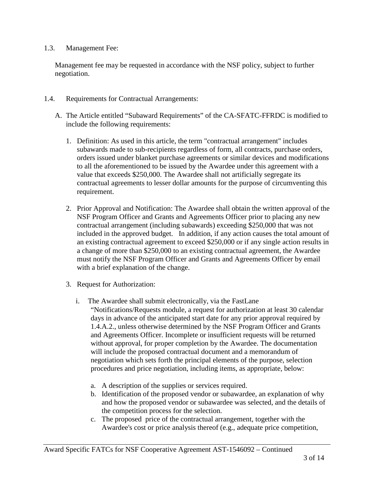#### 1.3. Management Fee:

Management fee may be requested in accordance with the NSF policy, subject to further negotiation.

- 1.4. Requirements for Contractual Arrangements:
	- A. The Article entitled "Subaward Requirements" of the CA-SFATC-FFRDC is modified to include the following requirements:
		- 1. Definition: As used in this article, the term "contractual arrangement" includes subawards made to sub-recipients regardless of form, all contracts, purchase orders, orders issued under blanket purchase agreements or similar devices and modifications to all the aforementioned to be issued by the Awardee under this agreement with a value that exceeds \$250,000. The Awardee shall not artificially segregate its contractual agreements to lesser dollar amounts for the purpose of circumventing this requirement.
		- 2. Prior Approval and Notification: The Awardee shall obtain the written approval of the NSF Program Officer and Grants and Agreements Officer prior to placing any new contractual arrangement (including subawards) exceeding \$250,000 that was not included in the approved budget. In addition, if any action causes the total amount of an existing contractual agreement to exceed \$250,000 or if any single action results in a change of more than \$250,000 to an existing contractual agreement, the Awardee must notify the NSF Program Officer and Grants and Agreements Officer by email with a brief explanation of the change.
		- 3. Request for Authorization:
			- i. The Awardee shall submit electronically, via the FastLane "Notifications/Requests module, a request for authorization at least 30 calendar days in advance of the anticipated start date for any prior approval required by 1.4.A.2., unless otherwise determined by the NSF Program Officer and Grants and Agreements Officer. Incomplete or insufficient requests will be returned without approval, for proper completion by the Awardee. The documentation will include the proposed contractual document and a memorandum of negotiation which sets forth the principal elements of the purpose, selection procedures and price negotiation, including items, as appropriate, below:
				- a. A description of the supplies or services required.
				- b. Identification of the proposed vendor or subawardee, an explanation of why and how the proposed vendor or subawardee was selected, and the details of the competition process for the selection.
				- c. The proposed price of the contractual arrangement, together with the Awardee's cost or price analysis thereof (e.g., adequate price competition,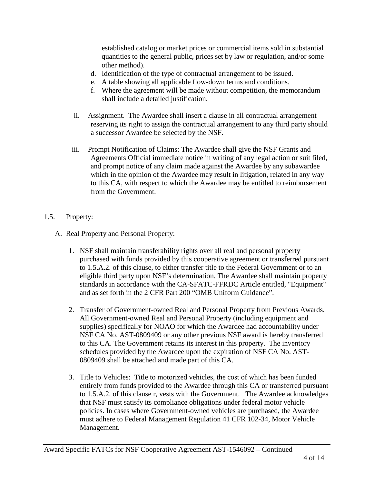established catalog or market prices or commercial items sold in substantial quantities to the general public, prices set by law or regulation, and/or some other method).

- d. Identification of the type of contractual arrangement to be issued.
- e. A table showing all applicable flow-down terms and conditions.
- f. Where the agreement will be made without competition, the memorandum shall include a detailed justification.
- ii. Assignment. The Awardee shall insert a clause in all contractual arrangement reserving its right to assign the contractual arrangement to any third party should a successor Awardee be selected by the NSF.
- iii. Prompt Notification of Claims: The Awardee shall give the NSF Grants and Agreements Official immediate notice in writing of any legal action or suit filed, and prompt notice of any claim made against the Awardee by any subawardee which in the opinion of the Awardee may result in litigation, related in any way to this CA, with respect to which the Awardee may be entitled to reimbursement from the Government.

## 1.5. Property:

- A. Real Property and Personal Property:
	- 1. NSF shall maintain transferability rights over all real and personal property purchased with funds provided by this cooperative agreement or transferred pursuant to 1.5.A.2. of this clause, to either transfer title to the Federal Government or to an eligible third party upon NSF's determination. The Awardee shall maintain property standards in accordance with the CA-SFATC-FFRDC Article entitled, "Equipment" and as set forth in the 2 CFR Part 200 "OMB Uniform Guidance".
	- 2. Transfer of Government-owned Real and Personal Property from Previous Awards. All Government-owned Real and Personal Property (including equipment and supplies) specifically for NOAO for which the Awardee had accountability under NSF CA No. AST-0809409 or any other previous NSF award is hereby transferred to this CA. The Government retains its interest in this property. The inventory schedules provided by the Awardee upon the expiration of NSF CA No. AST-0809409 shall be attached and made part of this CA.
	- 3. Title to Vehicles: Title to motorized vehicles, the cost of which has been funded entirely from funds provided to the Awardee through this CA or transferred pursuant to 1.5.A.2. of this clause r, vests with the Government. The Awardee acknowledges that NSF must satisfy its compliance obligations under federal motor vehicle policies. In cases where Government-owned vehicles are purchased, the Awardee must adhere to Federal Management Regulation 41 CFR 102-34, Motor Vehicle Management.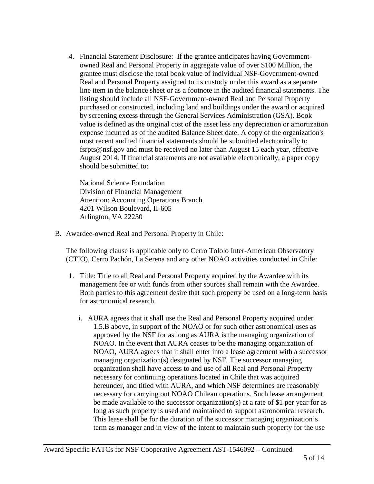4. Financial Statement Disclosure: If the grantee anticipates having Governmentowned Real and Personal Property in aggregate value of over \$100 Million, the grantee must disclose the total book value of individual NSF-Government-owned Real and Personal Property assigned to its custody under this award as a separate line item in the balance sheet or as a footnote in the audited financial statements. The listing should include all NSF-Government-owned Real and Personal Property purchased or constructed, including land and buildings under the award or acquired by screening excess through the General Services Administration (GSA). Book value is defined as the original cost of the asset less any depreciation or amortization expense incurred as of the audited Balance Sheet date. A copy of the organization's most recent audited financial statements should be submitted electronically to fsrpts@nsf.gov and must be received no later than August 15 each year, effective August 2014. If financial statements are not available electronically, a paper copy should be submitted to:

National Science Foundation Division of Financial Management Attention: Accounting Operations Branch 4201 Wilson Boulevard, II-605 Arlington, VA 22230

B. Awardee-owned Real and Personal Property in Chile:

The following clause is applicable only to Cerro Tololo Inter-American Observatory (CTIO), Cerro Pachón, La Serena and any other NOAO activities conducted in Chile:

- 1. Title: Title to all Real and Personal Property acquired by the Awardee with its management fee or with funds from other sources shall remain with the Awardee. Both parties to this agreement desire that such property be used on a long-term basis for astronomical research.
	- i. AURA agrees that it shall use the Real and Personal Property acquired under 1.5.B above, in support of the NOAO or for such other astronomical uses as approved by the NSF for as long as AURA is the managing organization of NOAO. In the event that AURA ceases to be the managing organization of NOAO, AURA agrees that it shall enter into a lease agreement with a successor managing organization(s) designated by NSF. The successor managing organization shall have access to and use of all Real and Personal Property necessary for continuing operations located in Chile that was acquired hereunder, and titled with AURA, and which NSF determines are reasonably necessary for carrying out NOAO Chilean operations. Such lease arrangement be made available to the successor organization(s) at a rate of \$1 per year for as long as such property is used and maintained to support astronomical research. This lease shall be for the duration of the successor managing organization's term as manager and in view of the intent to maintain such property for the use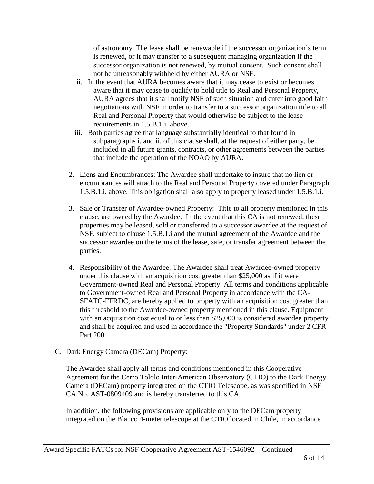of astronomy. The lease shall be renewable if the successor organization's term is renewed, or it may transfer to a subsequent managing organization if the successor organization is not renewed, by mutual consent. Such consent shall not be unreasonably withheld by either AURA or NSF.

- ii. In the event that AURA becomes aware that it may cease to exist or becomes aware that it may cease to qualify to hold title to Real and Personal Property, AURA agrees that it shall notify NSF of such situation and enter into good faith negotiations with NSF in order to transfer to a successor organization title to all Real and Personal Property that would otherwise be subject to the lease requirements in 1.5.B.1.i. above.
- iii. Both parties agree that language substantially identical to that found in subparagraphs i. and ii. of this clause shall, at the request of either party, be included in all future grants, contracts, or other agreements between the parties that include the operation of the NOAO by AURA.
- 2. Liens and Encumbrances: The Awardee shall undertake to insure that no lien or encumbrances will attach to the Real and Personal Property covered under Paragraph 1.5.B.1.i. above. This obligation shall also apply to property leased under 1.5.B.1.i.
- 3. Sale or Transfer of Awardee-owned Property: Title to all property mentioned in this clause, are owned by the Awardee. In the event that this CA is not renewed, these properties may be leased, sold or transferred to a successor awardee at the request of NSF, subject to clause 1.5.B.1.i and the mutual agreement of the Awardee and the successor awardee on the terms of the lease, sale, or transfer agreement between the parties.
- 4. Responsibility of the Awardee: The Awardee shall treat Awardee-owned property under this clause with an acquisition cost greater than \$25,000 as if it were Government-owned Real and Personal Property. All terms and conditions applicable to Government-owned Real and Personal Property in accordance with the CA-SFATC-FFRDC, are hereby applied to property with an acquisition cost greater than this threshold to the Awardee-owned property mentioned in this clause. Equipment with an acquisition cost equal to or less than \$25,000 is considered awardee property and shall be acquired and used in accordance the "Property Standards" under 2 CFR Part 200.
- C. Dark Energy Camera (DECam) Property:

The Awardee shall apply all terms and conditions mentioned in this Cooperative Agreement for the Cerro Tololo Inter-American Observatory (CTIO) to the Dark Energy Camera (DECam) property integrated on the CTIO Telescope, as was specified in NSF CA No. AST-0809409 and is hereby transferred to this CA.

In addition, the following provisions are applicable only to the DECam property integrated on the Blanco 4-meter telescope at the CTIO located in Chile, in accordance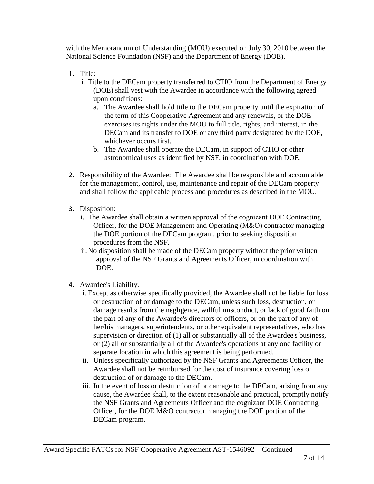with the Memorandum of Understanding (MOU) executed on July 30, 2010 between the National Science Foundation (NSF) and the Department of Energy (DOE).

- 1. Title:
	- i. Title to the DECam property transferred to CTIO from the Department of Energy (DOE) shall vest with the Awardee in accordance with the following agreed upon conditions:
		- a. The Awardee shall hold title to the DECam property until the expiration of the term of this Cooperative Agreement and any renewals, or the DOE exercises its rights under the MOU to full title, rights, and interest, in the DECam and its transfer to DOE or any third party designated by the DOE, whichever occurs first.
		- b. The Awardee shall operate the DECam, in support of CTIO or other astronomical uses as identified by NSF, in coordination with DOE.
- 2. Responsibility of the Awardee: The Awardee shall be responsible and accountable for the management, control, use, maintenance and repair of the DECam property and shall follow the applicable process and procedures as described in the MOU.
- 3. Disposition:
	- i. The Awardee shall obtain a written approval of the cognizant DOE Contracting Officer, for the DOE Management and Operating (M&O) contractor managing the DOE portion of the DECam program, prior to seeking disposition procedures from the NSF.
	- ii.No disposition shall be made of the DECam property without the prior written approval of the NSF Grants and Agreements Officer, in coordination with DOE.
- 4. Awardee's Liability.
	- i. Except as otherwise specifically provided, the Awardee shall not be liable for loss or destruction of or damage to the DECam, unless such loss, destruction, or damage results from the negligence, willful misconduct, or lack of good faith on the part of any of the Awardee's directors or officers, or on the part of any of her/his managers, superintendents, or other equivalent representatives, who has supervision or direction of (1) all or substantially all of the Awardee's business, or (2) all or substantially all of the Awardee's operations at any one facility or separate location in which this agreement is being performed.
	- ii. Unless specifically authorized by the NSF Grants and Agreements Officer, the Awardee shall not be reimbursed for the cost of insurance covering loss or destruction of or damage to the DECam.
	- iii. In the event of loss or destruction of or damage to the DECam, arising from any cause, the Awardee shall, to the extent reasonable and practical, promptly notify the NSF Grants and Agreements Officer and the cognizant DOE Contracting Officer, for the DOE M&O contractor managing the DOE portion of the DECam program.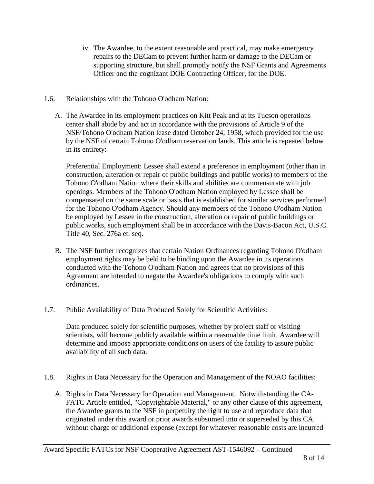- iv. The Awardee, to the extent reasonable and practical, may make emergency repairs to the DECam to prevent further harm or damage to the DECam or supporting structure, but shall promptly notify the NSF Grants and Agreements Officer and the cognizant DOE Contracting Officer, for the DOE.
- 1.6. Relationships with the Tohono O'odham Nation:
	- A. The Awardee in its employment practices on Kitt Peak and at its Tucson operations center shall abide by and act in accordance with the provisions of Article 9 of the NSF/Tohono O'odham Nation lease dated October 24, 1958, which provided for the use by the NSF of certain Tohono O'odham reservation lands. This article is repeated below in its entirety:

Preferential Employment: Lessee shall extend a preference in employment (other than in construction, alteration or repair of public buildings and public works) to members of the Tohono O'odham Nation where their skills and abilities are commensurate with job openings. Members of the Tohono O'odham Nation employed by Lessee shall be compensated on the same scale or basis that is established for similar services performed for the Tohono O'odham Agency. Should any members of the Tohono O'odham Nation be employed by Lessee in the construction, alteration or repair of public buildings or public works, such employment shall be in accordance with the Davis-Bacon Act, U.S.C. Title 40, Sec. 276a et. seq.

- B. The NSF further recognizes that certain Nation Ordinances regarding Tohono O'odham employment rights may be held to be binding upon the Awardee in its operations conducted with the Tohono O'odham Nation and agrees that no provisions of this Agreement are intended to negate the Awardee's obligations to comply with such ordinances.
- 1.7. Public Availability of Data Produced Solely for Scientific Activities:

Data produced solely for scientific purposes, whether by project staff or visiting scientists, will become publicly available within a reasonable time limit. Awardee will determine and impose appropriate conditions on users of the facility to assure public availability of all such data.

- 1.8. Rights in Data Necessary for the Operation and Management of the NOAO facilities:
	- A. Rights in Data Necessary for Operation and Management. Notwithstanding the CA-FATC Article entitled, "Copyrightable Material," or any other clause of this agreement, the Awardee grants to the NSF in perpetuity the right to use and reproduce data that originated under this award or prior awards subsumed into or superseded by this CA without charge or additional expense (except for whatever reasonable costs are incurred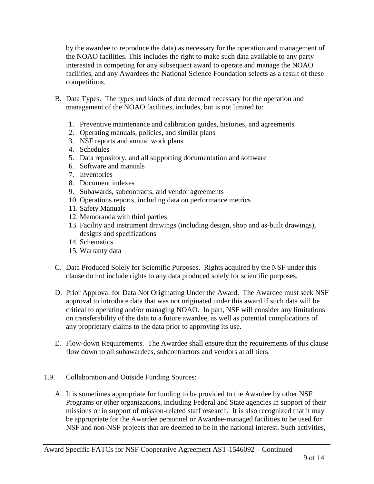by the awardee to reproduce the data) as necessary for the operation and management of the NOAO facilities. This includes the right to make such data available to any party interested in competing for any subsequent award to operate and manage the NOAO facilities, and any Awardees the National Science Foundation selects as a result of these competitions.

- B. Data Types. The types and kinds of data deemed necessary for the operation and management of the NOAO facilities, includes, but is not limited to:
	- 1. Preventive maintenance and calibration guides, histories, and agreements
	- 2. Operating manuals, policies, and similar plans
	- 3. NSF reports and annual work plans
	- 4. Schedules
	- 5. Data repository, and all supporting documentation and software
	- 6. Software and manuals
	- 7. Inventories
	- 8. Document indexes
	- 9. Subawards, subcontracts, and vendor agreements
	- 10. Operations reports, including data on performance metrics
	- 11. Safety Manuals
	- 12. Memoranda with third parties
	- 13. Facility and instrument drawings (including design, shop and as-built drawings), designs and specifications
	- 14. Schematics
	- 15. Warranty data
- C. Data Produced Solely for Scientific Purposes. Rights acquired by the NSF under this clause do not include rights to any data produced solely for scientific purposes.
- D. Prior Approval for Data Not Originating Under the Award. The Awardee must seek NSF approval to introduce data that was not originated under this award if such data will be critical to operating and/or managing NOAO. In part, NSF will consider any limitations on transferability of the data to a future awardee, as well as potential complications of any proprietary claims to the data prior to approving its use.
- E. Flow-down Requirements. The Awardee shall ensure that the requirements of this clause flow down to all subawardees, subcontractors and vendors at all tiers.
- 1.9. Collaboration and Outside Funding Sources:
	- A. It is sometimes appropriate for funding to be provided to the Awardee by other NSF Programs or other organizations, including Federal and State agencies in support of their missions or in support of mission-related staff research. It is also recognized that it may be appropriate for the Awardee personnel or Awardee-managed facilities to be used for NSF and non-NSF projects that are deemed to be in the national interest. Such activities,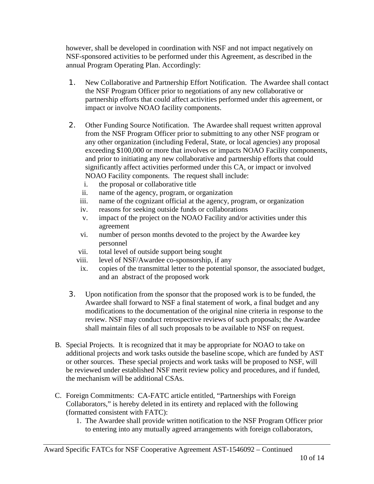however, shall be developed in coordination with NSF and not impact negatively on NSF-sponsored activities to be performed under this Agreement, as described in the annual Program Operating Plan. Accordingly:

- 1. New Collaborative and Partnership Effort Notification. The Awardee shall contact the NSF Program Officer prior to negotiations of any new collaborative or partnership efforts that could affect activities performed under this agreement, or impact or involve NOAO facility components.
- 2. Other Funding Source Notification. The Awardee shall request written approval from the NSF Program Officer prior to submitting to any other NSF program or any other organization (including Federal, State, or local agencies) any proposal exceeding \$100,000 or more that involves or impacts NOAO Facility components, and prior to initiating any new collaborative and partnership efforts that could significantly affect activities performed under this CA, or impact or involved NOAO Facility components. The request shall include:
	- i. the proposal or collaborative title
	- ii. name of the agency, program, or organization
	- iii. name of the cognizant official at the agency, program, or organization
	- iv. reasons for seeking outside funds or collaborations
	- v. impact of the project on the NOAO Facility and/or activities under this agreement
	- vi. number of person months devoted to the project by the Awardee key personnel
	- vii. total level of outside support being sought
	- viii. level of NSF/Awardee co-sponsorship, if any
	- ix. copies of the transmittal letter to the potential sponsor, the associated budget, and an abstract of the proposed work
- 3. Upon notification from the sponsor that the proposed work is to be funded, the Awardee shall forward to NSF a final statement of work, a final budget and any modifications to the documentation of the original nine criteria in response to the review. NSF may conduct retrospective reviews of such proposals; the Awardee shall maintain files of all such proposals to be available to NSF on request.
- B. Special Projects. It is recognized that it may be appropriate for NOAO to take on additional projects and work tasks outside the baseline scope, which are funded by AST or other sources. These special projects and work tasks will be proposed to NSF, will be reviewed under established NSF merit review policy and procedures, and if funded, the mechanism will be additional CSAs.
- C. Foreign Commitments: CA-FATC article entitled, "Partnerships with Foreign Collaborators," is hereby deleted in its entirety and replaced with the following (formatted consistent with FATC):
	- 1. The Awardee shall provide written notification to the NSF Program Officer prior to entering into any mutually agreed arrangements with foreign collaborators,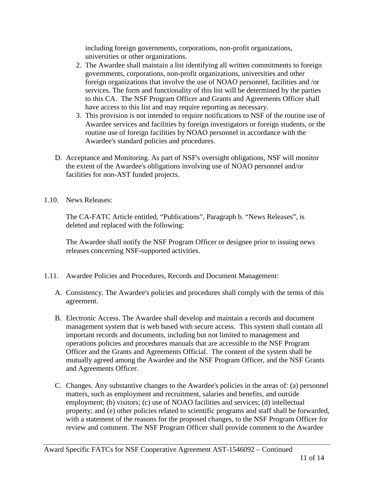including foreign governments, corporations, non-profit organizations, universities or other organizations.

- 2. The Awardee shall maintain a list identifying all written commitments to foreign governments, corporations, non-profit organizations, universities and other foreign organizations that involve the use of NOAO personnel, facilities and /or services. The form and functionality of this list will be determined by the parties to this CA. The NSF Program Officer and Grants and Agreements Officer shall have access to this list and may require reporting as necessary.
- 3. This provision is not intended to require notifications to NSF of the routine use of Awardee services and facilities by foreign investigators or foreign students, or the routine use of foreign facilities by NOAO personnel in accordance with the Awardee's standard policies and procedures.
- D. Acceptance and Monitoring. As part of NSF's oversight obligations, NSF will monitor the extent of the Awardee's obligations involving use of NOAO personnel and/or facilities for non-AST funded projects.
- 1.10. News Releases:

The CA-FATC Article entitled, "Publications", Paragraph b. "News Releases", is deleted and replaced with the following:

The Awardee shall notify the NSF Program Officer or designee prior to issuing news releases concerning NSF-supported activities.

- 1.11. Awardee Policies and Procedures, Records and Document Management:
	- A. Consistency. The Awardee's policies and procedures shall comply with the terms of this agreement.
	- B. Electronic Access. The Awardee shall develop and maintain a records and document management system that is web based with secure access. This system shall contain all important records and documents, including but not limited to management and operations policies and procedures manuals that are accessible to the NSF Program Officer and the Grants and Agreements Official. The content of the system shall be mutually agreed among the Awardee and the NSF Program Officer, and the NSF Grants and Agreements Officer.
	- C. Changes. Any substantive changes to the Awardee's policies in the areas of: (a) personnel matters, such as employment and recruitment, salaries and benefits, and outside employment; (b) visitors; (c) use of NOAO facilities and services; (d) intellectual property; and (e) other policies related to scientific programs and staff shall be forwarded, with a statement of the reasons for the proposed changes, to the NSF Program Officer for review and comment. The NSF Program Officer shall provide comment to the Awardee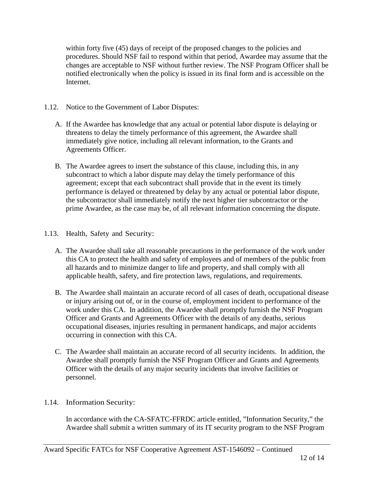within forty five (45) days of receipt of the proposed changes to the policies and procedures. Should NSF fail to respond within that period, Awardee may assume that the changes are acceptable to NSF without further review. The NSF Program Officer shall be notified electronically when the policy is issued in its final form and is accessible on the Internet.

- 1.12. Notice to the Government of Labor Disputes:
	- A. If the Awardee has knowledge that any actual or potential labor dispute is delaying or threatens to delay the timely performance of this agreement, the Awardee shall immediately give notice, including all relevant information, to the Grants and Agreements Officer.
	- B. The Awardee agrees to insert the substance of this clause, including this, in any subcontract to which a labor dispute may delay the timely performance of this agreement; except that each subcontract shall provide that in the event its timely performance is delayed or threatened by delay by any actual or potential labor dispute, the subcontractor shall immediately notify the next higher tier subcontractor or the prime Awardee, as the case may be, of all relevant information concerning the dispute.

## 1.13. Health, Safety and Security:

- A. The Awardee shall take all reasonable precautions in the performance of the work under this CA to protect the health and safety of employees and of members of the public from all hazards and to minimize danger to life and property, and shall comply with all applicable health, safety, and fire protection laws, regulations, and requirements.
- B. The Awardee shall maintain an accurate record of all cases of death, occupational disease or injury arising out of, or in the course of, employment incident to performance of the work under this CA. In addition, the Awardee shall promptly furnish the NSF Program Officer and Grants and Agreements Officer with the details of any deaths, serious occupational diseases, injuries resulting in permanent handicaps, and major accidents occurring in connection with this CA.
- C. The Awardee shall maintain an accurate record of all security incidents. In addition, the Awardee shall promptly furnish the NSF Program Officer and Grants and Agreements Officer with the details of any major security incidents that involve facilities or personnel.

#### 1.14. Information Security:

In accordance with the CA-SFATC-FFRDC article entitled, "Information Security," the Awardee shall submit a written summary of its IT security program to the NSF Program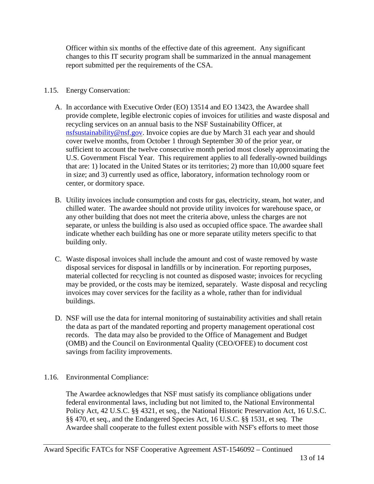Officer within six months of the effective date of this agreement. Any significant changes to this IT security program shall be summarized in the annual management report submitted per the requirements of the CSA.

# 1.15. Energy Conservation:

- A. In accordance with Executive Order (EO) 13514 and EO 13423, the Awardee shall provide complete, legible electronic copies of invoices for utilities and waste disposal and recycling services on an annual basis to the NSF Sustainability Officer, at [nsfsustainability@nsf.gov.](mailto:nsfsustainability@nsf.gov) Invoice copies are due by March 31 each year and should cover twelve months, from October 1 through September 30 of the prior year, or sufficient to account the twelve consecutive month period most closely approximating the U.S. Government Fiscal Year. This requirement applies to all federally-owned buildings that are: 1) located in the United States or its territories; 2) more than 10,000 square feet in size; and 3) currently used as office, laboratory, information technology room or center, or dormitory space.
- B. Utility invoices include consumption and costs for gas, electricity, steam, hot water, and chilled water. The awardee should not provide utility invoices for warehouse space, or any other building that does not meet the criteria above, unless the charges are not separate, or unless the building is also used as occupied office space. The awardee shall indicate whether each building has one or more separate utility meters specific to that building only.
- C. Waste disposal invoices shall include the amount and cost of waste removed by waste disposal services for disposal in landfills or by incineration. For reporting purposes, material collected for recycling is not counted as disposed waste; invoices for recycling may be provided, or the costs may be itemized, separately. Waste disposal and recycling invoices may cover services for the facility as a whole, rather than for individual buildings.
- D. NSF will use the data for internal monitoring of sustainability activities and shall retain the data as part of the mandated reporting and property management operational cost records. The data may also be provided to the Office of Management and Budget (OMB) and the Council on Environmental Quality (CEO/OFEE) to document cost savings from facility improvements.

# 1.16. Environmental Compliance:

The Awardee acknowledges that NSF must satisfy its compliance obligations under federal environmental laws, including but not limited to, the National Environmental Policy Act, 42 U.S.C. §§ 4321, et seq., the National Historic Preservation Act, 16 U.S.C. §§ 470, et seq., and the Endangered Species Act, 16 U.S.C. §§ 1531, et seq. The Awardee shall cooperate to the fullest extent possible with NSF's efforts to meet those